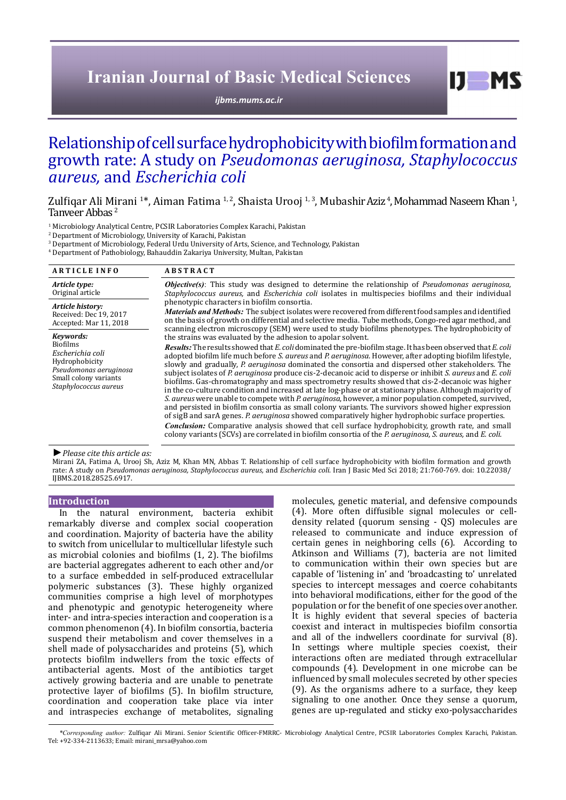# **Iranian Journal of Basic Medical Sciences**

*[ijbms.mums.ac.ir](http://ijbms.mums.ac.ir)*

# Relationship of cell surface hydrophobicity with biofilm formation and growth rate: A study on *Pseudomonas aeruginosa, Staphylococcus aureus,* and *Escherichia coli*

Zulfiqar Ali Mirani <sup>1</sup>\*, Aiman Fatima <sup>1, 2</sup>, Shaista Urooj <sup>1, 3</sup>, Mubashir Aziz <sup>4</sup>, Mohammad Naseem Khan <sup>1</sup>,<br>Tanveer Abbas <sup>2</sup>

1 Microbiology Analytical Centre, PCSIR Laboratories Complex Karachi, Pakistan

2 Department of Microbiology, University of Karachi, Pakistan

3 Department of Microbiology, Federal Urdu University of Arts, Science, and Technology, Pakistan

4 Department of Pathobiology, Bahauddin Zakariya University, Multan, Pakistan

| <b>ARTICLE INFO</b>                                                                                                                            | <b>ABSTRACT</b>                                                                                                                                                                                                                                                                                                                                                                                                                                                                                                                                                                                                                                                                                                                                                                                                                                                                                                                                                                                                                                                                                                                                                                                                                                                                             |
|------------------------------------------------------------------------------------------------------------------------------------------------|---------------------------------------------------------------------------------------------------------------------------------------------------------------------------------------------------------------------------------------------------------------------------------------------------------------------------------------------------------------------------------------------------------------------------------------------------------------------------------------------------------------------------------------------------------------------------------------------------------------------------------------------------------------------------------------------------------------------------------------------------------------------------------------------------------------------------------------------------------------------------------------------------------------------------------------------------------------------------------------------------------------------------------------------------------------------------------------------------------------------------------------------------------------------------------------------------------------------------------------------------------------------------------------------|
| Article type:<br>Original article                                                                                                              | Objective(s): This study was designed to determine the relationship of Pseudomonas aeruginosa,<br>Staphylococcus aureus, and Escherichia coli isolates in multispecies biofilms and their individual                                                                                                                                                                                                                                                                                                                                                                                                                                                                                                                                                                                                                                                                                                                                                                                                                                                                                                                                                                                                                                                                                        |
| Article history:<br>Received: Dec 19, 2017<br>Accepted: Mar 11, 2018                                                                           | phenotypic characters in biofilm consortia.<br><i>Materials and Methods:</i> The subject isolates were recovered from different food samples and identified<br>on the basis of growth on differential and selective media. Tube methods, Congo-red agar method, and<br>scanning electron microscopy (SEM) were used to study biofilms phenotypes. The hydrophobicity of                                                                                                                                                                                                                                                                                                                                                                                                                                                                                                                                                                                                                                                                                                                                                                                                                                                                                                                     |
| Kevwords:<br><b>Biofilms</b><br>Escherichia coli<br>Hydrophobicity<br>Pseudomonas aeruginosa<br>Small colony variants<br>Staphylococcus aureus | the strains was evaluated by the adhesion to apolar solvent.<br><b>Results:</b> The results showed that E, coli dominated the pre-biofilm stage. It has been observed that E, coli<br>adopted biofilm life much before <i>S. aureus</i> and <i>P. aeruginosa</i> . However, after adopting biofilm lifestyle,<br>slowly and gradually, P. aeruginosa dominated the consortia and dispersed other stakeholders. The<br>subject isolates of P. aeruginosa produce cis-2-decanoic acid to disperse or inhibit S. aureus and E. coli<br>biofilms. Gas-chromatography and mass spectrometry results showed that cis-2-decanoic was higher<br>in the co-culture condition and increased at late log-phase or at stationary phase. Although majority of<br>S. aureus were unable to compete with P. aeruginosa, however, a minor population competed, survived,<br>and persisted in biofilm consortia as small colony variants. The survivors showed higher expression<br>of sigB and sarA genes. P. aeruginosa showed comparatively higher hydrophobic surface properties.<br><b>Conclusion:</b> Comparative analysis showed that cell surface hydrophobicity, growth rate, and small<br>colony variants (SCVs) are correlated in biofilm consortia of the P. aeruginosa, S. aureus, and E. coli. |

*►Please cite this article as:*

Mirani ZA, Fatima A, Urooj Sh, Aziz M, Khan MN, Abbas T. Relationship of cell surface hydrophobicity with biofilm formation and growth rate: A study on *Pseudomonas aeruginosa, Staphylococcus aureus,* and *Escherichia coli*. Iran J Basic Med Sci 2018; 21:760-769. doi: 10.22038/ IJBMS.2018.28525.6917.

#### **Introduction**

In the natural environment, bacteria exhibit remarkably diverse and complex social cooperation and coordination. Majority of bacteria have the ability to switch from unicellular to multicellular lifestyle such as microbial colonies and biofilms (1, 2). The biofilms are bacterial aggregates adherent to each other and/or to a surface embedded in self-produced extracellular polymeric substances (3). These highly organized communities comprise a high level of morphotypes and phenotypic and genotypic heterogeneity where inter- and intra-species interaction and cooperation is a common phenomenon (4). In biofilm consortia, bacteria suspend their metabolism and cover themselves in a shell made of polysaccharides and proteins (5), which protects biofilm indwellers from the toxic effects of antibacterial agents. Most of the antibiotics target actively growing bacteria and are unable to penetrate protective layer of biofilms (5). In biofilm structure, coordination and cooperation take place via inter and intraspecies exchange of metabolites, signaling molecules, genetic material, and defensive compounds (4). More often diffusible signal molecules or celldensity related (quorum sensing - QS) molecules are released to communicate and induce expression of certain genes in neighboring cells (6). According to Atkinson and Williams (7), bacteria are not limited to communication within their own species but are capable of 'listening in' and 'broadcasting to' unrelated species to intercept messages and coerce cohabitants into behavioral modifications, either for the good of the population or for the benefit of one species over another. It is highly evident that several species of bacteria coexist and interact in multispecies biofilm consortia and all of the indwellers coordinate for survival (8). In settings where multiple species coexist, their interactions often are mediated through extracellular compounds (4). Development in one microbe can be influenced by small molecules secreted by other species (9). As the organisms adhere to a surface, they keep signaling to one another. Once they sense a quorum, genes are up-regulated and sticky exo-polysaccharides

 $I$   $I$   $M$   $S$ 

*<sup>\*</sup>Corresponding author:* Zulfiqar Ali Mirani. Senior Scientific Officer-FMRRC- Microbiology Analytical Centre, PCSIR Laboratories Complex Karachi, Pakistan. Tel: +92-334-2113633; Email: mirani\_mrsa@yahoo.com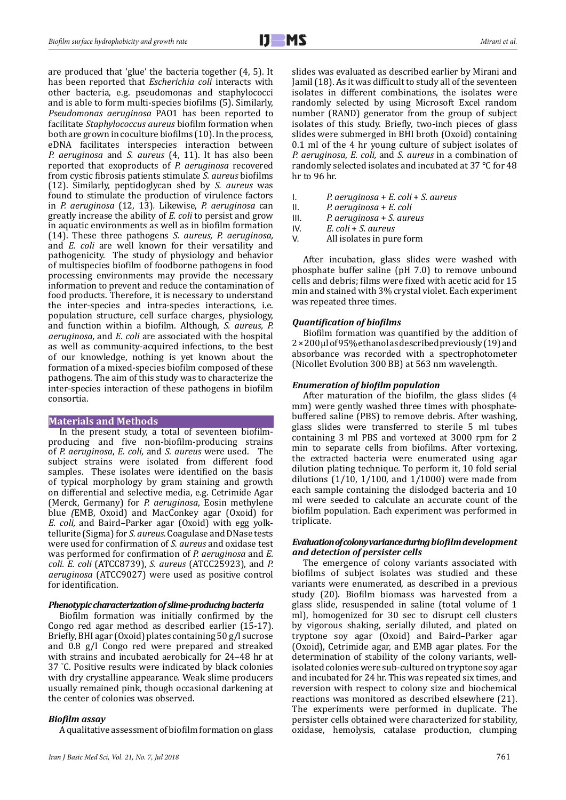are produced that 'glue' the bacteria together (4, 5). It has been reported that *Escherichia coli* interacts with other bacteria, e.g. pseudomonas and staphylococci and is able to form multi-species biofilms (5). Similarly, *Pseudomonas aeruginosa* PAO1 has been reported to facilitate *Staphylococcus aureus* biofilm formation when both are grown in coculture biofilms (10). In the process, eDNA facilitates interspecies interaction between *P. aeruginosa* and *S. aureus* (4, 11). It has also been reported that exoproducts of *P. aeruginosa* recovered from cystic fibrosis patients stimulate *S. aureus* biofilms (12). Similarly, peptidoglycan shed by *S. aureus* was found to stimulate the production of virulence factors in *P. aeruginosa* (12, 13)*.* Likewise, *P. aeruginosa* can greatly increase the ability of *E. coli* to persist and grow in aquatic environments as well as in biofilm formation (14). These three pathogens *S. aureus, P. aeruginosa,*  and *E. coli* are well known for their versatility and pathogenicity.The study of physiology and behavior of multispecies biofilm of foodborne pathogens in food processing environments may provide the necessary information to prevent and reduce the contamination of food products. Therefore, it is necessary to understand the inter-species and intra-species interactions, i.e. population structure, cell surface charges, physiology, and function within a biofilm. Although, *S. aureus, P. aeruginosa,* and *E. coli* are associated with the hospital as well as community-acquired infections, to the best of our knowledge, nothing is yet known about the formation of a mixed-species biofilm composed of these pathogens. The aim of this study was to characterize the inter-species interaction of these pathogens in biofilm consortia.

## **Materials and Methods**

In the present study, a total of seventeen biofilmproducing and five non-biofilm-producing strains of *P. aeruginosa*, *E. coli,* and *S. aureus* were used. The subject strains were isolated from different food samples. These isolates were identified on the basis of typical morphology by gram staining and growth on differential and selective media, e.g. Cetrimide Agar (Merck, Germany) for *P. aeruginosa*, Eosin methylene blue *(*EMB, Oxoid) and MacConkey agar (Oxoid) for *E. coli,* and Baird*–*Parker agar (Oxoid) with egg yolktellurite (Sigma) for *S. aureus.* Coagulase and DNase tests were used for confirmation of *S. aureus* and oxidase test was performed for confirmation of *P. aeruginosa* and *E. coli. E. coli* (ATCC8739), *S. aureus* (ATCC25923), and *P. aeruginosa* (ATCC9027) were used as positive control for identification.

#### *Phenotypic characterization of slime-producing bacteria*

Biofilm formation was initially confirmed by the Congo red agar method as described earlier (15-17). Briefly, BHI agar (Oxoid) plates containing 50 g/l sucrose and 0.8 g/l Congo red were prepared and streaked with strains and incubated aerobically for 24–48 hr at 37 ° C. Positive results were indicated by black colonies with dry crystalline appearance. Weak slime producers usually remained pink, though occasional darkening at the center of colonies was observed.

### *Biofilm assay*

A qualitative assessment of biofilm formation on glass

slides was evaluated as described earlier by Mirani and Jamil (18). As it was difficult to study all of the seventeen isolates in different combinations, the isolates were randomly selected by using Microsoft Excel random number (RAND) generator from the group of subject isolates of this study. Briefly, two-inch pieces of glass slides were submerged in BHI broth (Oxoid) containing 0.1 ml of the 4 hr young culture of subject isolates of *P. aeruginosa*, *E. coli,* and *S. aureus* in a combination of randomly selected isolates and incubated at 37 °C for 48 hr to 96 hr.

- I. *P. aeruginosa* + *E. coli* + *S. aureus*
- II. *P. aeruginosa* + *E. coli*
- III. *P. aeruginosa* + *S. aureus*<br>IV. *E. coli + S. aureus*
- IV. *E. coli* + *S. aureus*
- All isolates in pure form

After incubation, glass slides were washed with phosphate buffer saline (pH 7.0) to remove unbound cells and debris; films were fixed with acetic acid for 15 min and stained with 3% crystal violet. Each experiment was repeated three times.

### *Quantification of biofilms*

Biofilm formation was quantified by the addition of 2×200μl of 95% ethanol as described previously (19)and absorbance was recorded with a spectrophotometer (Nicollet Evolution 300 BB) at 563 nm wavelength.

### *Enumeration of biofilm population*

After maturation of the biofilm, the glass slides (4 mm) were gently washed three times with phosphatebuffered saline (PBS) to remove debris. After washing, glass slides were transferred to sterile 5 ml tubes containing 3 ml PBS and vortexed at 3000 rpm for 2 min to separate cells from biofilms. After vortexing, the extracted bacteria were enumerated using agar dilution plating technique. To perform it, 10 fold serial dilutions  $(1/10, 1/100,$  and  $1/1000)$  were made from each sample containing the dislodged bacteria and 10 ml were seeded to calculate an accurate count of the biofilm population. Each experiment was performed in triplicate.

### *Evaluation of colony variance during biofilmdevelopment and detection of persister cells*

The emergence of colony variants associated with biofilms of subject isolates was studied and these variants were enumerated, as described in a previous study (20). Biofilm biomass was harvested from a glass slide, resuspended in saline (total volume of 1 ml), homogenized for 30 sec to disrupt cell clusters by vigorous shaking, serially diluted, and plated on tryptone soy agar (Oxoid) and Baird–Parker agar (Oxoid), Cetrimide agar, and EMB agar plates. For the determination of stability of the colony variants, wellisolated colonies were sub-cultured on tryptone soy agar and incubated for 24 hr. This was repeated six times, and reversion with respect to colony size and biochemical reactions was monitored as described elsewhere (21). The experiments were performed in duplicate. The persister cells obtained were characterized for stability, oxidase, hemolysis, catalase production, clumping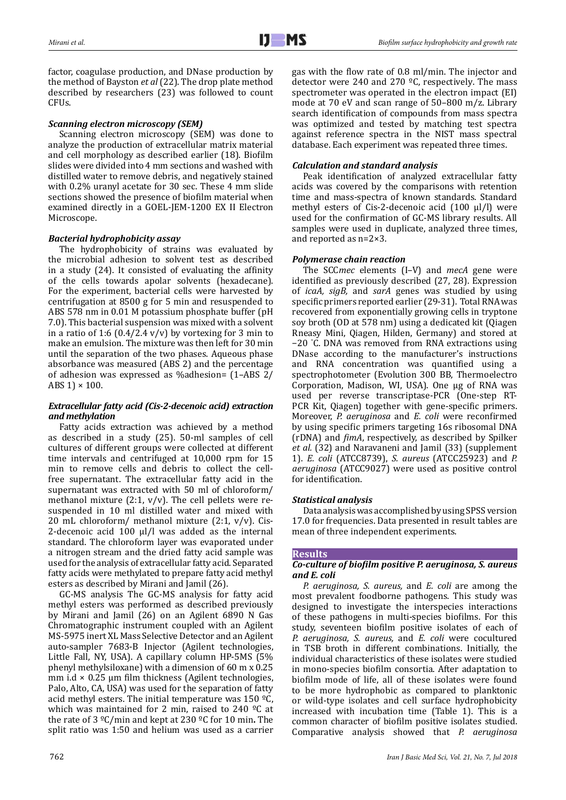factor, coagulase production, and DNase production by the method of Bayston *et al* (22). The drop plate method described by researchers (23) was followed to count CFUs.

# *Scanning electron microscopy (SEM)*

Scanning electron microscopy (SEM) was done to analyze the production of extracellular matrix material and cell morphology as described earlier (18). Biofilm slides were divided into 4 mm sections and washed with distilled water to remove debris, and negatively stained with 0.2% uranyl acetate for 30 sec. These 4 mm slide sections showed the presence of biofilm material when examined directly in a GOEL-JEM-1200 EX II Electron Microscope.

# *Bacterial hydrophobicity assay*

The hydrophobicity of strains was evaluated by the microbial adhesion to solvent test as described in a study (24). It consisted of evaluating the affinity of the cells towards apolar solvents (hexadecane). For the experiment, bacterial cells were harvested by centrifugation at 8500 g for 5 min and resuspended to ABS 578 nm in 0.01 M potassium phosphate buffer (pH 7.0). This bacterial suspension was mixed with a solvent in a ratio of 1:6  $(0.4/2.4 v/v)$  by vortexing for 3 min to make an emulsion. The mixture was then left for 30 min until the separation of the two phases. Aqueous phase absorbance was measured (ABS 2) and the percentage of adhesion was expressed as %adhesion= (1–ABS 2/ ABS 1)  $\times$  100.

# *Extracellular fatty acid (Cis-2-decenoic acid) extraction and methylation*

Fatty acids extraction was achieved by a method as described in a study (25). 50-ml samples of cell cultures of different groups were collected at different time intervals and centrifuged at 10,000 rpm for 15 min to remove cells and debris to collect the cellfree supernatant. The extracellular fatty acid in the supernatant was extracted with 50 ml of chloroform/ methanol mixture (2:1,  $v/v$ ). The cell pellets were resuspended in 10 ml distilled water and mixed with 20 mL chloroform/ methanol mixture (2:1, v/v). Cis-2-decenoic acid 100 μl/l was added as the internal standard. The chloroform layer was evaporated under a nitrogen stream and the dried fatty acid sample was used for the analysis of extracellular fatty acid. Separated fatty acids were methylated to prepare fatty acid methyl esters as described by Mirani and Jamil (26).

GC-MS analysis The GC-MS analysis for fatty acid methyl esters was performed as described previously by Mirani and Jamil (26) on an Agilent 6890 N Gas Chromatographic instrument coupled with an Agilent MS-5975 inert XL Mass Selective Detector and an Agilent auto-sampler 7683-B Injector (Agilent technologies, Little Fall, NY, USA). A capillary column HP-5MS (5% phenyl methylsiloxane) with a dimension of 60 m x 0.25 mm i.d  $\times$  0.25 µm film thickness (Agilent technologies, Palo, Alto, CA, USA) was used for the separation of fatty acid methyl esters. The initial temperature was  $150 \text{ }^{\circ}$ C, which was maintained for 2 min, raised to 240  $^{\circ}$ C at the rate of 3 ºC/min and kept at 230 ºC for 10 min**.** The split ratio was 1:50 and helium was used as a carrier

gas with the flow rate of 0.8 ml/min. The injector and detector were 240 and 270  $\degree$ C, respectively. The mass spectrometer was operated in the electron impact (EI) mode at 70 eV and scan range of 50–800 m/z. Library search identification of compounds from mass spectra was optimized and tested by matching test spectra against reference spectra in the NIST mass spectral database. Each experiment was repeated three times.

# *Calculation and standard analysis*

Peak identification of analyzed extracellular fatty acids was covered by the comparisons with retention time and mass-spectra of known standards. Standard methyl esters of Cis-2-decenoic acid (100 μl/l) were used for the confirmation of GC-MS library results. All samples were used in duplicate, analyzed three times, and reported as n=2×3.

# *Polymerase chain reaction*

The SCC*mec* elements (I–V) and *mecA* gene were identified as previously described (27, 28). Expression of *icaA, sigB,* and *sarA* genes was studied by using specific primers reported earlier (29-31). Total RNA was recovered from exponentially growing cells in tryptone soy broth (OD at 578 nm) using a dedicated kit (Qiagen Rneasy Mini, Qiagen, Hilden, Germany) and stored at −20 ° C. DNA was removed from RNA extractions using DNase according to the manufacturer's instructions and RNA concentration was quantified using a spectrophotometer (Evolution 300 BB, Thermoelectro Corporation, Madison, WI, USA). One µg of RNA was used per reverse transcriptase-PCR (One-step RT-PCR Kit, Qiagen) together with gene-specific primers. Moreover, *P. aeruginosa* and *E. coli* were reconfirmed by using specific primers targeting 16s ribosomal DNA (rDNA) and *fimA*, respectively, as described by Spilker *et al.* (32) and Naravaneni and Jamil (33) (supplement 1). *E. coli* (ATCC8739), *S. aureus* (ATCC25923) and *P. aeruginosa* (ATCC9027) were used as positive control for identification.

# *Statistical analysis*

Data analysis was accomplished by using SPSS version 17.0 for frequencies. Data presented in result tables are mean of three independent experiments.

# **Results**

## *Co-culture of biofilm positive P. aeruginosa, S. aureus and E. coli*

*P. aeruginosa, S. aureus,* and *E. coli* are among the most prevalent foodborne pathogens. This study was designed to investigate the interspecies interactions of these pathogens in multi-species biofilms. For this study, seventeen biofilm positive isolates of each of *P. aeruginosa, S. aureus,* and *E. coli* were cocultured in TSB broth in different combinations. Initially, the individual characteristics of these isolates were studied in mono-species biofilm consortia. After adaptation to biofilm mode of life, all of these isolates were found to be more hydrophobic as compared to planktonic or wild-type isolates and cell surface hydrophobicity increased with incubation time (Table 1). This is a common character of biofilm positive isolates studied. Comparative analysis showed that *P. aeruginosa*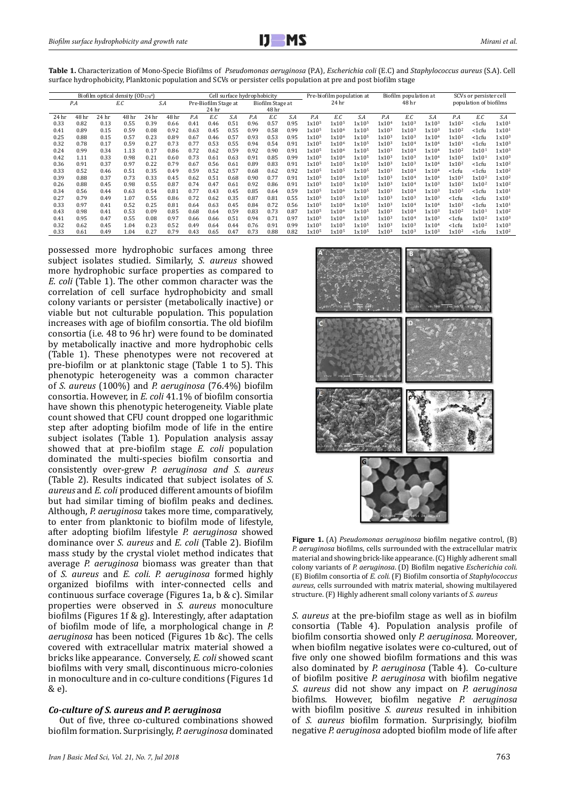| Biofilm optical density (OD <sub>578</sub> a) |       |       |            |       |                      | Cell surface hydrophobicity |                  |      |       |       | Pre-biofilm population at |                   |                   | Biofilm population at |                        |                   | SCVs or persister cell |                   |                   |                   |
|-----------------------------------------------|-------|-------|------------|-------|----------------------|-----------------------------|------------------|------|-------|-------|---------------------------|-------------------|-------------------|-----------------------|------------------------|-------------------|------------------------|-------------------|-------------------|-------------------|
|                                               | P.A   |       | S.A<br>E.C |       | Pre-Biofilm Stage at |                             | Biofilm Stage at |      | 24 hr |       |                           | 48 hr             |                   |                       | population of biofilms |                   |                        |                   |                   |                   |
|                                               |       |       |            |       |                      |                             | 24 hr            |      |       | 48 hr |                           |                   |                   |                       |                        |                   |                        |                   |                   |                   |
| 24 hr                                         | 48 hr | 24 hr | 48 hr      | 24 hr | 48 hr                | P.A                         | E.C              | S.A  | P.A   | E.C   | S.A                       | P.A               | E.C               | S.A                   | P.A                    | E.C               | S.A                    | P.A               | E.C               | S.A               |
| 0.33                                          | 0.82  | 0.13  | 0.55       | 0.39  | 0.66                 | 0.41                        | 0.46             | 0.51 | 0.96  | 0.57  | 0.95                      | 1x10 <sup>5</sup> | 1x10 <sup>5</sup> | 1x10 <sup>5</sup>     | 1x10 <sup>4</sup>      | 1x10 <sup>3</sup> | 1x10 <sup>3</sup>      | 1x10 <sup>2</sup> | <1cfu             | 1x101             |
| 0.41                                          | 0.89  | 0.15  | 0.59       | 0.08  | 0.92                 | 0.63                        | 0.45             | 0.55 | 0.99  | 0.58  | 0.99                      | 1x10 <sup>5</sup> | 1x10 <sup>6</sup> | 1x10 <sup>5</sup>     | 1x10 <sup>3</sup>      | 1x10 <sup>3</sup> | 1x10 <sup>3</sup>      | 1x10 <sup>2</sup> | <1cfu             | 1x101             |
| 0.25                                          | 0.88  | 0.15  | 0.57       | 0.23  | 0.89                 | 0.67                        | 0.46             | 0.57 | 0.93  | 0.53  | 0.95                      | 1x10 <sup>5</sup> | 1x10 <sup>6</sup> | 1x10 <sup>5</sup>     | 1x10 <sup>3</sup>      | 1x10 <sup>3</sup> | 1x10 <sup>4</sup>      | 1x10 <sup>2</sup> | <1cfu             | 1x10 <sup>3</sup> |
| 0.32                                          | 0.78  | 0.17  | 0.59       | 0.27  | 0.73                 | 0.77                        | 0.53             | 0.55 | 0.94  | 0.54  | 0.91                      | 1x10 <sup>5</sup> | 1x10 <sup>6</sup> | 1x10 <sup>5</sup>     | 1x10 <sup>3</sup>      | 1x10 <sup>4</sup> | 1x10 <sup>4</sup>      | 1x101             | <1cfu             | 1x10 <sup>3</sup> |
| 0.24                                          | 0.99  | 0.34  | 1.13       | 0.17  | 0.86                 | 0.72                        | 0.62             | 0.59 | 0.92  | 0.90  | 0.91                      | 1x10 <sup>5</sup> | 1x10 <sup>6</sup> | 1x10 <sup>5</sup>     | 1x10 <sup>3</sup>      | 1x10 <sup>4</sup> | 1x10 <sup>4</sup>      | 1x10 <sup>2</sup> | 1x101             | 1x10 <sup>3</sup> |
| 0.42                                          | 1.11  | 0.33  | 0.98       | 0.21  | 0.60                 | 0.73                        | 0.61             | 0.63 | 0.91  | 0.85  | 0.99                      | 1x10 <sup>5</sup> | 1x10 <sup>6</sup> | 1x10 <sup>5</sup>     | 1x10 <sup>3</sup>      | 1x10 <sup>3</sup> | 1x10 <sup>4</sup>      | 1x10 <sup>2</sup> | 1x101             | 1x10 <sup>3</sup> |
| 0.36                                          | 0.91  | 0.37  | 0.97       | 0.22  | 0.79                 | 0.67                        | 0.56             | 0.61 | 0.89  | 0.83  | 0.91                      | 1x10 <sup>5</sup> | 1x105             | 1x10 <sup>5</sup>     | 1x10 <sup>3</sup>      | 1x10 <sup>3</sup> | 1x10 <sup>4</sup>      | 1x10 <sup>2</sup> | <1cfu             | 1x10 <sup>2</sup> |
| 0.33                                          | 0.52  | 0.46  | 0.51       | 0.35  | 0.49                 | 0.59                        | 0.52             | 0.57 | 0.68  | 0.62  | 0.92                      | 1x10 <sup>5</sup> | 1x10 <sup>5</sup> | 1x10 <sup>5</sup>     | 1x10 <sup>3</sup>      | 1x10 <sup>4</sup> | 1x10 <sup>4</sup>      | <1cfu             | <1cfu             | 1x10 <sup>2</sup> |
| 0.39                                          | 0.88  | 0.37  | 0.73       | 0.33  | 0.45                 | 0.62                        | 0.51             | 0.68 | 0.90  | 0.77  | 0.91                      | 1x10 <sup>5</sup> | 1x10 <sup>6</sup> | 1x10 <sup>5</sup>     | 1x10 <sup>3</sup>      | 1x10 <sup>4</sup> | 1x10 <sup>4</sup>      | 1x10 <sup>2</sup> | 1x10 <sup>2</sup> | 1x10 <sup>2</sup> |
| 0.26                                          | 0.88  | 0.45  | 0.98       | 0.55  | 0.87                 | 0.74                        | 0.47             | 0.61 | 0.92  | 0.86  | 0.91                      | 1x10 <sup>5</sup> | 1x10 <sup>5</sup> | 1x10 <sup>5</sup>     | 1x10 <sup>3</sup>      | 1x10 <sup>4</sup> | 1x10 <sup>3</sup>      | 1x10 <sup>2</sup> | 1x10 <sup>2</sup> | 1x10 <sup>2</sup> |
| 0.34                                          | 0.56  | 0.44  | 0.63       | 0.54  | 0.81                 | 0.77                        | 0.43             | 0.45 | 0.85  | 0.64  | 0.59                      | 1x10 <sup>5</sup> | 1x10 <sup>6</sup> | 1x10 <sup>5</sup>     | 1x10 <sup>3</sup>      | 1x10 <sup>4</sup> | 1x10 <sup>3</sup>      | $1x10^2$          | <1cfu             | $1x10^1$          |
| 0.27                                          | 0.79  | 0.49  | 1.07       | 0.55  | 0.86                 | 0.72                        | 0.62             | 0.35 | 0.87  | 0.81  | 0.55                      | 1x10 <sup>5</sup> | 1x10 <sup>5</sup> | 1x10 <sup>5</sup>     | 1x10 <sup>3</sup>      | 1x10 <sup>3</sup> | 1x10 <sup>3</sup>      | <1cfu             | <1cfu             | 1x101             |
| 0.33                                          | 0.97  | 0.41  | 0.52       | 0.25  | 0.81                 | 0.64                        | 0.63             | 0.45 | 0.84  | 0.72  | 0.56                      | 1x10 <sup>5</sup> | 1x10 <sup>6</sup> | 1x10 <sup>5</sup>     | 1x10 <sup>3</sup>      | 1x10 <sup>4</sup> | 1x10 <sup>4</sup>      | 1x10 <sup>2</sup> | <1cfu             | 1x101             |
| 0.43                                          | 0.98  | 0.41  | 0.53       | 0.09  | 0.85                 | 0.68                        | 0.64             | 0.59 | 0.83  | 0.73  | 0.87                      | 1x10 <sup>5</sup> | 1x10 <sup>6</sup> | 1x10 <sup>5</sup>     | 1x10 <sup>3</sup>      | 1x10 <sup>4</sup> | 1x10 <sup>3</sup>      | 1x10 <sup>2</sup> | 1x101             | 1x10 <sup>2</sup> |
| 0.41                                          | 0.95  | 0.47  | 0.55       | 0.08  | 0.97                 | 0.66                        | 0.66             | 0.51 | 0.94  | 0.71  | 0.97                      | 1x10 <sup>5</sup> | 1x10 <sup>6</sup> | 1x10 <sup>5</sup>     | 1x10 <sup>3</sup>      | 1x10 <sup>4</sup> | 1x10 <sup>3</sup>      | $<1$ cfu          | $1x10^2$          | 1x10 <sup>3</sup> |
| 0.32                                          | 0.62  | 0.45  | 1.04       | 0.23  | 0.52                 | 0.49                        | 0.64             | 0.44 | 0.76  | 0.91  | 0.99                      | 1x10 <sup>5</sup> | 1x10 <sup>5</sup> | 1x10 <sup>5</sup>     | 1x10 <sup>3</sup>      | 1x10 <sup>3</sup> | 1x10 <sup>4</sup>      | <1cfu             | 1x10 <sup>2</sup> | 1x10 <sup>3</sup> |
| 0.33                                          | 0.61  | 0.49  | 1.04       | 0.27  | 0.79                 | 0.43                        | 0.65             | 0.47 | 0.73  | 0.88  | 0.82                      | 1x10 <sup>5</sup> | 1x10 <sup>5</sup> | 1x10 <sup>5</sup>     | 1x10 <sup>3</sup>      | 1x10 <sup>3</sup> | 1x10 <sup>3</sup>      | 1x10 <sup>2</sup> | <1cfu             | 1x10 <sup>2</sup> |

**Table 1.** Characterization of Mono-Specie Biofilms of *Pseudomonas aeruginosa* (P.A), *Escherichia coli* (E.C) and *Staphylococcus aureus* (S.A). Cell surface hydrophobicity, Planktonic population and SCVs or persister cells population at pre and post biofilm stage

possessed more hydrophobic surfaces among three subject isolates studied. Similarly, *S. aureus* showed more hydrophobic surface properties as compared to *E. coli* (Table 1). The other common character was the correlation of cell surface hydrophobicity and small colony variants or persister (metabolically inactive) or viable but not culturable population. This population increases with age of biofilm consortia. The old biofilm consortia (i.e. 48 to 96 hr) were found to be dominated by metabolically inactive and more hydrophobic cells (Table 1). These phenotypes were not recovered at pre-biofilm or at planktonic stage (Table 1 to 5). This phenotypic heterogeneity was a common character of *S. aureus* (100%) and *P. aeruginosa* (76.4%) biofilm consortia. However, in *E. coli* 41.1% of biofilm consortia have shown this phenotypic heterogeneity. Viable plate count showed that CFU count dropped one logarithmic step after adopting biofilm mode of life in the entire subject isolates (Table 1). Population analysis assay showed that at pre-biofilm stage *E. coli* population dominated the multi-species biofilm consortia and consistently over-grew *P. aeruginosa and S. aureus*  (Table 2). Results indicated that subject isolates of *S. aureus* and *E. coli* produced different amounts of biofilm but had similar timing of biofilm peaks and declines. Although, *P. aeruginosa* takes more time, comparatively, to enter from planktonic to biofilm mode of lifestyle, after adopting biofilm lifestyle *P. aeruginosa* showed dominance over *S. aureus* and *E. coli* (Table 2). Biofilm mass study by the crystal violet method indicates that average *P. aeruginosa* biomass was greater than that of *S. aureus* and *E. coli. P. aeruginosa* formed highly organized biofilms with inter-connected cells and continuous surface coverage (Figures 1a, b & c). Similar properties were observed in *S. aureus* monoculture biofilms (Figures 1f & g). Interestingly, after adaptation of biofilm mode of life, a morphological change in *P. aeruginosa* has been noticed (Figures 1b &c). The cells covered with extracellular matrix material showed a bricks like appearance. Conversely, *E. coli* showed scant biofilms with very small, discontinuous micro-colonies in monoculture and in co-culture conditions (Figures 1d & e).

#### *Co-culture of S. aureus and P. aeruginosa*

Out of five, three co-cultured combinations showed biofilm formation. Surprisingly, *P. aeruginosa* dominated



**Figure 1.** (A) *Pseudomonas aeruginosa* biofilm negative control, (B) *P. aeruginosa* biofilms, cells surrounded with the extracellular matrix material and showing brick-like appearance. (C) Highly adherent small colony variants of *P. aeruginosa*. (D) Biofilm negative *Escherichia coli.* (E) Biofilm consortia of *E. coli.* (F) Biofilm consortia of *Staphylococcus aureus*, cells surrounded with matrix material, showing multilayered structure. (F) Highly adherent small colony variants of *S. aureus*

*S. aureus* at the pre-biofilm stage as well as in biofilm consortia (Table 4). Population analysis profile of biofilm consortia showed only *P. aeruginosa.* Moreover*,*  when biofilm negative isolates were co-cultured, out of five only one showed biofilm formations and this was also dominated by *P. aeruginosa* (Table 4)*.* Co-culture of biofilm positive *P. aeruginosa* with biofilm negative *S. aureus* did not show any impact on *P. aeruginosa*  biofilms. However, biofilm negative *P. aeruginosa*  with biofilm positive *S. aureus* resulted in inhibition of *S. aureus* biofilm formation. Surprisingly, biofilm negative *P. aeruginosa* adopted biofilm mode of life after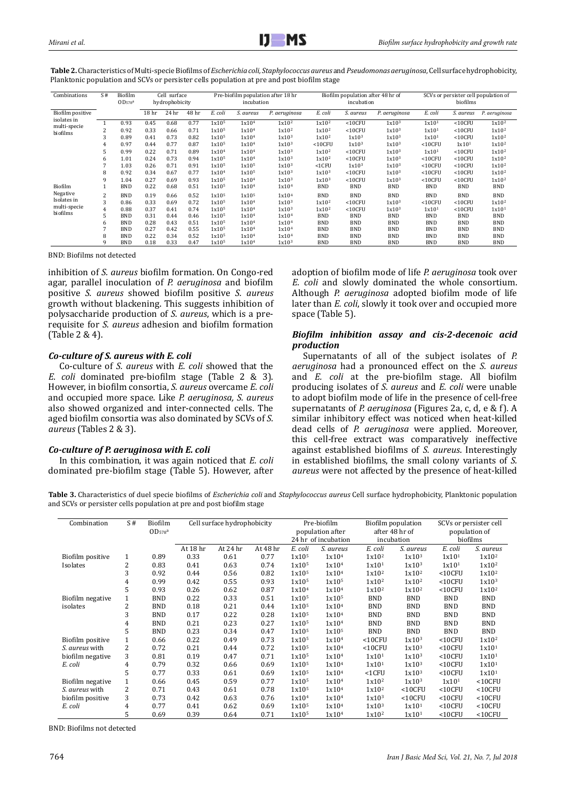| Combinations                | S#<br>Biofilm<br>Cell surface<br>$OD_{578}$ a<br>hydrophobicity |            |                  |       |       |                   | incubation        | Pre-biofilm population after 18 hr |                   | Biofilm population after 48 hr of<br>incubation |                   | SCVs or persister cell population of<br>biofilms |              |                   |  |
|-----------------------------|-----------------------------------------------------------------|------------|------------------|-------|-------|-------------------|-------------------|------------------------------------|-------------------|-------------------------------------------------|-------------------|--------------------------------------------------|--------------|-------------------|--|
| Biofilm positive            |                                                                 |            | 18 <sub>hr</sub> | 24 hr | 48 hr | E. coli           | S. aureus         | P. aeruginosa                      | E. coli           | S. aureus                                       | P. aeruginosa     | E. coli                                          | S. aureus    | P. aeruginosa     |  |
| isolates in<br>multi-specie |                                                                 | 0.93       | 0.45             | 0.68  | 0.77  | 1x10 <sup>5</sup> | 1x10 <sup>4</sup> | 1x10 <sup>2</sup>                  | $1x10^2$          | $<$ 10CFU                                       | 1x10 <sup>3</sup> | 1x10 <sup>1</sup>                                | $<$ 10CFU    | 1x10 <sup>2</sup> |  |
| biofilms                    | 2                                                               | 0.92       | 0.33             | 0.66  | 0.71  | 1x10 <sup>5</sup> | 1x10 <sup>4</sup> | 1x10 <sup>2</sup>                  | 1x10 <sup>2</sup> | $<$ 10CFU                                       | 1x10 <sup>3</sup> | 1x10 <sup>1</sup>                                | $<$ 10 $CFU$ | 1x10 <sup>2</sup> |  |
|                             | 3                                                               | 0.89       | 0.41             | 0.73  | 0.82  | 1x10 <sup>5</sup> | 1x10 <sup>4</sup> | 1x10 <sup>3</sup>                  | 1x10 <sup>2</sup> | 1x10 <sup>3</sup>                               | 1x10 <sup>3</sup> | 1x101                                            | $<$ 10 $CFU$ | 1x10 <sup>2</sup> |  |
|                             | 4                                                               | 0.97       | 0.44             | 0.77  | 0.87  | 1x10 <sup>5</sup> | 1x10 <sup>4</sup> | 1x10 <sup>3</sup>                  | $<$ 10CFU         | 1x10 <sup>3</sup>                               | 1x10 <sup>3</sup> | $<$ 10CFU                                        | 1x101        | 1x10 <sup>2</sup> |  |
|                             | 5                                                               | 0.99       | 0.22             | 0.71  | 0.89  | 1x10 <sup>4</sup> | 1x10 <sup>4</sup> | 1x10 <sup>3</sup>                  | 1x10 <sup>2</sup> | $<$ 10 $CFU$                                    | 1x10 <sup>3</sup> | 1x101                                            | $<$ 10 $CFU$ | 1x10 <sup>2</sup> |  |
|                             | 6                                                               | 1.01       | 0.24             | 0.73  | 0.94  | 1x10 <sup>5</sup> | 1x10 <sup>4</sup> | 1x10 <sup>3</sup>                  | 1x10 <sup>2</sup> | $<$ 10 $CFU$                                    | 1x10 <sup>3</sup> | $<$ 10 $CFU$                                     | $<$ 10 $CFU$ | 1x10 <sup>2</sup> |  |
|                             |                                                                 | 1.03       | 0.26             | 0.71  | 0.91  | 1x10 <sup>5</sup> | 1x10 <sup>5</sup> | 1x10 <sup>3</sup>                  | $<$ 1 $CFU$       | 1x10 <sup>3</sup>                               | 1x10 <sup>3</sup> | $<$ 10CFU                                        | $<$ 10CFU    | 1x10 <sup>2</sup> |  |
|                             | 8                                                               | 0.92       | 0.34             | 0.67  | 0.77  | 1x10 <sup>4</sup> | 1x10 <sup>5</sup> | 1x10 <sup>3</sup>                  | 1x10 <sup>3</sup> | $<$ 10 $CFU$                                    | 1x10 <sup>3</sup> | $<$ 10 $CFU$                                     | $<$ 10 $CFU$ | 1x10 <sup>2</sup> |  |
|                             | 9                                                               | 1.04       | 0.27             | 0.69  | 0.93  | 1x10 <sup>5</sup> | 1x10 <sup>4</sup> | 1x10 <sup>3</sup>                  | 1x10 <sup>3</sup> | $<$ 10 $CFU$                                    | 1x10 <sup>3</sup> | $<$ 10 $CFU$                                     | $<$ 10 $CFU$ | 1x10 <sup>2</sup> |  |
| Biofilm                     |                                                                 | <b>BND</b> | 0.22             | 0.68  | 0.51  | 1x10 <sup>5</sup> | 1x10 <sup>4</sup> | 1x10 <sup>4</sup>                  | <b>BND</b>        | <b>BND</b>                                      | <b>BND</b>        | <b>BND</b>                                       | <b>BND</b>   | <b>BND</b>        |  |
| Negative                    | $\overline{c}$                                                  | <b>BND</b> | 0.19             | 0.66  | 0.52  | 1x10 <sup>5</sup> | 1x10 <sup>5</sup> | 1x10 <sup>4</sup>                  | <b>BND</b>        | <b>BND</b>                                      | <b>BND</b>        | <b>BND</b>                                       | <b>BND</b>   | <b>BND</b>        |  |
| Isolates in                 | 3                                                               | 0.86       | 0.33             | 0.69  | 0.72  | 1x10 <sup>5</sup> | 1x10 <sup>4</sup> | 1x10 <sup>3</sup>                  | 1x10 <sup>2</sup> | $<$ 10 $CFU$                                    | 1x10 <sup>3</sup> | $<$ 10 $CFU$                                     | $<$ 10 $CFU$ | 1x10 <sup>2</sup> |  |
| multi-specie                | 4                                                               | 0.88       | 0.37             | 0.41  | 0.74  | 1x10 <sup>5</sup> | 1x10 <sup>4</sup> | 1x10 <sup>3</sup>                  | 1x10 <sup>2</sup> | $<$ 10 $CFU$                                    | 1x10 <sup>3</sup> | 1x101                                            | $<$ 10CFU    | 1x101             |  |
| biofilms                    | 5                                                               | <b>BND</b> | 0.31             | 0.44  | 0.46  | 1x10 <sup>5</sup> | 1x10 <sup>4</sup> | 1x10 <sup>4</sup>                  | <b>BND</b>        | <b>BND</b>                                      | <b>BND</b>        | <b>BND</b>                                       | <b>BND</b>   | <b>BND</b>        |  |
|                             | 6                                                               | <b>BND</b> | 0.28             | 0.43  | 0.51  | 1x10 <sup>5</sup> | 1x10 <sup>4</sup> | 1x10 <sup>4</sup>                  | <b>BND</b>        | <b>BND</b>                                      | BND               | <b>BND</b>                                       | BND          | <b>BND</b>        |  |
|                             |                                                                 | <b>BND</b> | 0.27             | 0.42  | 0.55  | 1x10 <sup>5</sup> | 1x10 <sup>4</sup> | 1x10 <sup>4</sup>                  | <b>BND</b>        | <b>BND</b>                                      | BND               | <b>BND</b>                                       | <b>BND</b>   | BND               |  |
|                             | 8                                                               | <b>BND</b> | 0.22             | 0.34  | 0.52  | 1x10 <sup>5</sup> | 1x10 <sup>4</sup> | 1x10 <sup>4</sup>                  | <b>BND</b>        | <b>BND</b>                                      | BND               | <b>BND</b>                                       | <b>BND</b>   | BND               |  |
|                             | 9                                                               | <b>BND</b> | 0.18             | 0.33  | 0.47  | 1x10 <sup>5</sup> | 1x10 <sup>4</sup> | 1x10 <sup>3</sup>                  | <b>BND</b>        | <b>BND</b>                                      | <b>BND</b>        | <b>BND</b>                                       | <b>BND</b>   | <b>BND</b>        |  |

**Table 2.** Characteristics of Multi-specie Biofilms of *Escherichia coli, Staphylococcus aureus* and*Pseudomonas aeruginosa*, Cell surface hydrophobicity, Planktonic population and SCVs or persister cells population at pre and post biofilm stage

BND: Biofilms not detected

inhibition of *S. aureus* biofilm formation. On Congo-red agar, parallel inoculation of *P. aeruginosa* and biofilm positive *S. aureus* showed biofilm positive *S. aureus* growth without blackening. This suggests inhibition of polysaccharide production of *S. aureus*, which is a prerequisite for *S. aureus* adhesion and biofilm formation (Table 2 & 4).

## *Co-culture of S. aureus with E. coli*

Co-culture of *S. aureus* with *E. coli* showed that the *E. coli* dominated pre-biofilm stage (Table 2 & 3). However, in biofilm consortia, *S. aureus* overcame *E. coli*  and occupied more space. Like *P. aeruginosa, S. aureus*  also showed organized and inter-connected cells. The aged biofilm consortia was also dominated by SCVs of *S. aureus* (Tables 2 & 3).

## *Co-culture of P. aeruginosa with E. coli*

In this combination, it was again noticed that *E. coli* dominated pre-biofilm stage (Table 5). However, after

adoption of biofilm mode of life *P. aeruginosa* took over *E. coli* and slowly dominated the whole consortium. Although *P. aeruginosa* adopted biofilm mode of life later than *E. coli*, slowly it took over and occupied more space (Table 5).

## *Biofilm inhibition assay and cis-2-decenoic acid production*

Supernatants of all of the subject isolates of *P. aeruginosa* had a pronounced effect on the *S. aureus*  and *E. coli* at the pre-biofilm stage. All biofilm producing isolates of *S. aureus* and *E. coli* were unable to adopt biofilm mode of life in the presence of cell-free supernatants of *P. aeruginosa* (Figures 2a, c, d, e & f)*.* A similar inhibitory effect was noticed when heat-killed dead cells of *P. aeruginosa* were applied. Moreover, this cell-free extract was comparatively ineffective against established biofilms of *S. aureus*. Interestingly in established biofilms, the small colony variants of *S. aureus* were not affected by the presence of heat-killed

**Table 3.** Characteristics of duel specie biofilms of *Escherichia coli* and *Staphylococcus aureus* Cell surface hydrophobicity, Planktonic population and SCVs or persister cells population at pre and post biofilm stage

| Combination      | S#             | Biofilm<br>OD <sub>578</sub> <sup>a</sup> | Cell surface hydrophobicity |          |          | Pre-biofilm<br>population after<br>24 hr of incubation | Biofilm population<br>after 48 hr of<br>incubation |                   | SCVs or persister cell<br>population of<br>biofilms |                   |                   |
|------------------|----------------|-------------------------------------------|-----------------------------|----------|----------|--------------------------------------------------------|----------------------------------------------------|-------------------|-----------------------------------------------------|-------------------|-------------------|
|                  |                |                                           | At 18 hr                    | At 24 hr | At 48 hr | E. coli                                                | S. aureus                                          | E. coli           | S. aureus                                           | E. coli           | S. aureus         |
| Biofilm positive | 1              | 0.89                                      | 0.33                        | 0.61     | 0.77     | 1x10 <sup>5</sup>                                      | 1x10 <sup>4</sup>                                  | 1x10 <sup>2</sup> | 1x10 <sup>3</sup>                                   | 1x101             | 1x10 <sup>2</sup> |
| Isolates         | 2              | 0.83                                      | 0.41                        | 0.63     | 0.74     | 1x10 <sup>5</sup>                                      | 1x10 <sup>4</sup>                                  | 1x10 <sup>1</sup> | 1x10 <sup>3</sup>                                   | 1x10 <sup>1</sup> | $1x10^2$          |
|                  | 3              | 0.92                                      | 0.44                        | 0.56     | 0.82     | 1x10 <sup>5</sup>                                      | 1x10 <sup>4</sup>                                  | 1x10 <sup>2</sup> | $1x10^2$                                            | $<$ 10 $CFU$      | $1x10^2$          |
|                  | 4              | 0.99                                      | 0.42                        | 0.55     | 0.93     | 1x10 <sup>5</sup>                                      | 1x10 <sup>5</sup>                                  | $1x10^2$          | $1x10^2$                                            | $<$ 10 $CFU$      | 1x10 <sup>3</sup> |
|                  | 5              | 0.93                                      | 0.26                        | 0.62     | 0.87     | 1x10 <sup>4</sup>                                      | 1x10 <sup>4</sup>                                  | 1x10 <sup>2</sup> | 1x10 <sup>2</sup>                                   | $<$ 10 $CFU$      | 1x10 <sup>2</sup> |
| Biofilm negative | $\mathbf{1}$   | <b>BND</b>                                | 0.22                        | 0.33     | 0.51     | 1x10 <sup>5</sup>                                      | 1x10 <sup>5</sup>                                  | <b>BND</b>        | <b>BND</b>                                          | <b>BND</b>        | <b>BND</b>        |
| isolates         | 2              | <b>BND</b>                                | 0.18                        | 0.21     | 0.44     | 1x10 <sup>5</sup>                                      | 1x10 <sup>4</sup>                                  | <b>BND</b>        | <b>BND</b>                                          | <b>BND</b>        | <b>BND</b>        |
|                  | 3              | <b>BND</b>                                | 0.17                        | 0.22     | 0.28     | 1x10 <sup>5</sup>                                      | 1x10 <sup>4</sup>                                  | <b>BND</b>        | <b>BND</b>                                          | <b>BND</b>        | <b>BND</b>        |
|                  | 4              | <b>BND</b>                                | 0.21                        | 0.23     | 0.27     | 1x10 <sup>5</sup>                                      | 1x10 <sup>4</sup>                                  | <b>BND</b>        | <b>BND</b>                                          | <b>BND</b>        | <b>BND</b>        |
|                  | 5              | <b>BND</b>                                | 0.23                        | 0.34     | 0.47     | 1x10 <sup>5</sup>                                      | 1x10 <sup>5</sup>                                  | <b>BND</b>        | <b>BND</b>                                          | <b>BND</b>        | <b>BND</b>        |
| Biofilm positive |                | 0.66                                      | 0.22                        | 0.49     | 0.73     | 1x10 <sup>5</sup>                                      | 1x10 <sup>4</sup>                                  | $<$ 10 $CFU$      | 1x10 <sup>3</sup>                                   | $<$ 10 $CFU$      | 1x10 <sup>2</sup> |
| S. aureus with   | $\overline{c}$ | 0.72                                      | 0.21                        | 0.44     | 0.72     | 1x10 <sup>5</sup>                                      | 1x10 <sup>4</sup>                                  | $<$ 10 $CFU$      | 1x10 <sup>3</sup>                                   | $<$ 10 $CFU$      | 1x101             |
| biofilm negative | 3              | 0.81                                      | 0.19                        | 0.47     | 0.71     | 1x10 <sup>5</sup>                                      | 1x10 <sup>4</sup>                                  | 1x101             | 1x10 <sup>3</sup>                                   | $<$ 10 $CFU$      | 1x101             |
| E. coli          | 4              | 0.79                                      | 0.32                        | 0.66     | 0.69     | 1x10 <sup>5</sup>                                      | 1x10 <sup>4</sup>                                  | 1x101             | 1x10 <sup>3</sup>                                   | $<$ 10 $CFU$      | 1x101             |
|                  | 5              | 0.77                                      | 0.33                        | 0.61     | 0.69     | 1x10 <sup>5</sup>                                      | 1x10 <sup>4</sup>                                  | $<$ 1 $CFU$       | 1x10 <sup>3</sup>                                   | $<$ 10 $CFU$      | 1x101             |
| Biofilm negative |                | 0.66                                      | 0.45                        | 0.59     | 0.77     | 1x10 <sup>5</sup>                                      | 1x10 <sup>4</sup>                                  | $1x10^2$          | 1x10 <sup>3</sup>                                   | 1x101             | $<$ 10 $CFU$      |
| S. aureus with   | 2              | 0.71                                      | 0.43                        | 0.61     | 0.78     | 1x10 <sup>5</sup>                                      | 1x10 <sup>4</sup>                                  | 1x10 <sup>2</sup> | $<$ 10 $CFU$                                        | $<$ 10 $CFU$      | $<$ 10 $CFU$      |
| biofilm positive | 3              | 0.73                                      | 0.42                        | 0.63     | 0.76     | 1x10 <sup>4</sup>                                      | 1x10 <sup>4</sup>                                  | 1x10 <sup>3</sup> | $<$ 10 $CFU$                                        | $<$ 10 $CFU$      | $<$ 10 $CFU$      |
| E. coli          | 4              | 0.77                                      | 0.41                        | 0.62     | 0.69     | 1x10 <sup>5</sup>                                      | 1x10 <sup>4</sup>                                  | 1x10 <sup>3</sup> | 1x101                                               | $<$ 10 $CFU$      | $<$ 10 $CFU$      |
|                  | 5              | 0.69                                      | 0.39                        | 0.64     | 0.71     | 1x10 <sup>5</sup>                                      | 1x10 <sup>4</sup>                                  | 1x10 <sup>2</sup> | 1x101                                               | $<$ 10 $CFU$      | $<$ 10 $CFU$      |

BND: Biofilms not detected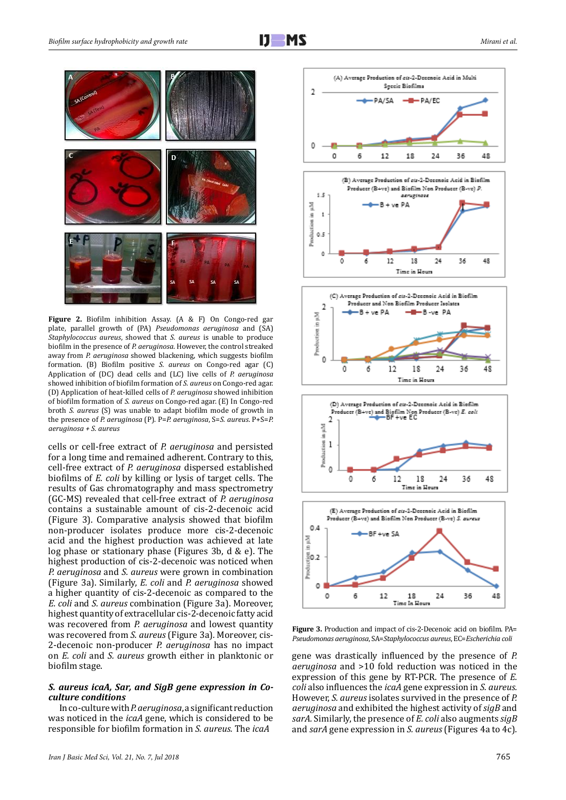

**Figure 2.** Biofilm inhibition Assay. (A & F) On Congo-red gar plate, parallel growth of (PA) *Pseudomonas aeruginosa* and (SA) *Staphylococcus aureus*, showed that *S. aureus* is unable to produce biofilm in the presence of *P. aeruginosa*. However, the control streaked away from *P. aeruginosa* showed blackening, which suggests biofilm formation. (B) Biofilm positive *S. aureus* on Congo-red agar (C) Application of (DC) dead cells and (LC) live cells of *P. aeruginosa* showed inhibition of biofilm formation of *S. aureus* on Congo-red agar. (D) Application of heat-killed cells of *P. aeruginosa* showed inhibition of biofilm formation of *S. aureus* on Congo-red agar. (E) In Congo-red broth *S. aureus* (S) was unable to adapt biofilm mode of growth in the presence of *P. aeruginosa* (P). P=*P. aeruginosa*, S=*S. aureus*. P+S=*P. aeruginosa + S. aureus*

cells or cell-free extract of *P. aeruginosa* and persisted for a long time and remained adherent. Contrary to this, cell-free extract of *P. aeruginosa* dispersed established biofilms of *E. coli* by killing or lysis of target cells. The results of Gas chromatography and mass spectrometry (GC-MS) revealed that cell-free extract of *P. aeruginosa* contains a sustainable amount of cis-2-decenoic acid (Figure 3). Comparative analysis showed that biofilm non-producer isolates produce more cis-2-decenoic acid and the highest production was achieved at late log phase or stationary phase (Figures 3b, d & e). The highest production of cis-2-decenoic was noticed when *P. aeruginosa* and *S. aureus* were grown in combination (Figure 3a). Similarly, *E. coli* and *P. aeruginosa* showed a higher quantity of cis-2-decenoic as compared to the *E. coli* and *S. aureus* combination (Figure 3a). Moreover, highest quantity of extracellular cis-2-decenoic fatty acid was recovered from *P. aeruginosa* and lowest quantity was recovered from *S. aureus* (Figure 3a)*.* Moreover, cis-2-decenoic non-producer *P. aeruginosa* has no impact on *E. coli* and *S. aureus* growth either in planktonic or biofilm stage.

#### *S. aureus icaA, Sar, and SigB gene expression in Coculture conditions*

In co-culture with *P. aeruginosa*, a significant reduction was noticed in the *icaA* gene, which is considered to be responsible for biofilm formation in *S. aureus.* The *icaA* 



**Figure 3.** Production and impact of cis-2-Decenoic acid on biofilm. PA= *Pseudomonas aeruginosa*, SA=*Staphylococcus aureus*, EC=*Escherichia coli*

gene was drastically influenced by the presence of *P. aeruginosa* and >10 fold reduction was noticed in the expression of this gene by RT-PCR. The presence of *E. coli* also influences the *icaA* gene expression in *S. aureus.* However, *S. aureus* isolates survived in the presence of *P. aeruginosa* and exhibited the highest activity of *sigB* and *sarA.* Similarly, the presence of *E. coli* also augments *sigB* and *sarA* gene expression in *S. aureus* (Figures 4a to 4c)*.*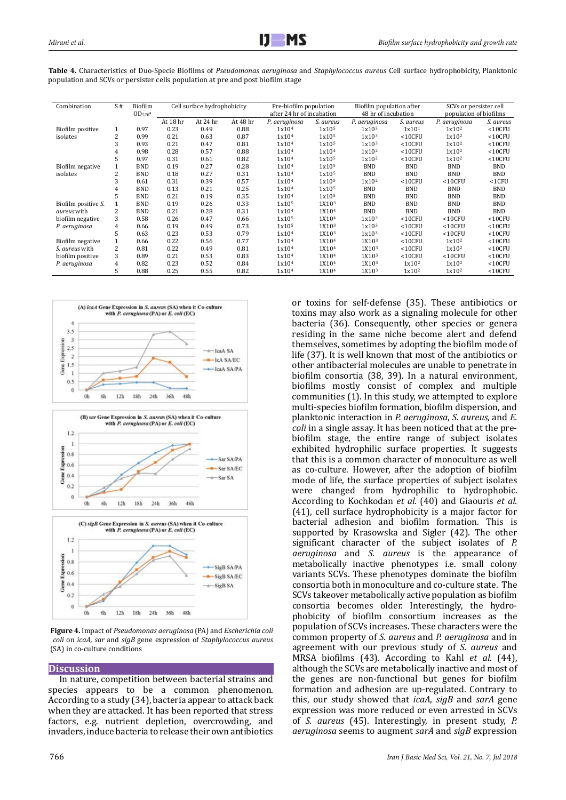| Mirani et al. |
|---------------|
|---------------|

| Combination         | S#             | Biofilm<br>OD <sub>578</sub> <sup>a</sup> | Cell surface hydrophobicity |          |          | Pre-biofilm population<br>after 24 hr of incubation |                   | Biofilm population after<br>48 hr of incubation |                   | SCVs or persister cell<br>population of biofilms |              |
|---------------------|----------------|-------------------------------------------|-----------------------------|----------|----------|-----------------------------------------------------|-------------------|-------------------------------------------------|-------------------|--------------------------------------------------|--------------|
|                     |                |                                           | At 18 hr                    | At 24 hr | At 48 hr | P. aeruginosa                                       | S. aureus         | P. aeruginosa                                   | S. aureus         | P. aeruginosa                                    | S. aureus    |
| Biofilm positive    | $\mathbf{1}$   | 0.97                                      | 0.23                        | 0.49     | 0.88     | 1x10 <sup>4</sup>                                   | 1x10 <sup>5</sup> | 1x10 <sup>3</sup>                               | 1x101             | $1x10^2$                                         | $<$ 10 $CFU$ |
| isolates            | 2              | 0.99                                      | 0.21                        | 0.63     | 0.87     | 1x10 <sup>4</sup>                                   | 1x10 <sup>5</sup> | 1x10 <sup>3</sup>                               | $<$ 10 $CFU$      | 1x10 <sup>2</sup>                                | $<$ 10 $CFU$ |
|                     | 3              | 0.93                                      | 0.21                        | 0.47     | 0.81     | 1x10 <sup>4</sup>                                   | 1x10 <sup>5</sup> | 1x10 <sup>3</sup>                               | $<$ 10CFU         | 1x10 <sup>2</sup>                                | $<$ 10 $CFU$ |
|                     | 4              | 0.98                                      | 0.28                        | 0.57     | 0.88     | 1x10 <sup>4</sup>                                   | 1x10 <sup>4</sup> | 1x10 <sup>2</sup>                               | $<$ 10 $CFU$      | 1x10 <sup>2</sup>                                | $<$ 10 $CFU$ |
|                     | 5              | 0.97                                      | 0.31                        | 0.61     | 0.82     | 1x10 <sup>4</sup>                                   | 1x10 <sup>5</sup> | 1x10 <sup>2</sup>                               | $<$ 10 $CFU$      | 1x10 <sup>2</sup>                                | $<$ 10 $CFU$ |
| Biofilm negative    |                | <b>BND</b>                                | 0.19                        | 0.27     | 0.28     | 1x10 <sup>4</sup>                                   | 1x10 <sup>5</sup> | <b>BND</b>                                      | <b>BND</b>        | <b>BND</b>                                       | <b>BND</b>   |
| isolates            | $\overline{2}$ | <b>BND</b>                                | 0.18                        | 0.27     | 0.31     | 1x10 <sup>4</sup>                                   | 1x10 <sup>5</sup> | <b>BND</b>                                      | <b>BND</b>        | <b>BND</b>                                       | <b>BND</b>   |
|                     | 3              | 0.61                                      | 0.31                        | 0.39     | 0.57     | 1x10 <sup>4</sup>                                   | 1x10 <sup>5</sup> | 1x10 <sup>2</sup>                               | $<$ 10 $CFU$      | $<$ 10 $CFU$                                     | $<$ 1 $CFU$  |
|                     | 4              | <b>BND</b>                                | 0.13                        | 0.21     | 0.25     | 1x10 <sup>4</sup>                                   | 1x10 <sup>5</sup> | <b>BND</b>                                      | <b>BND</b>        | <b>BND</b>                                       | <b>BND</b>   |
|                     | 5              | <b>BND</b>                                | 0.21                        | 0.19     | 0.35     | 1x10 <sup>4</sup>                                   | 1x10 <sup>5</sup> | <b>BND</b>                                      | <b>BND</b>        | <b>BND</b>                                       | <b>BND</b>   |
| Biofilm positive S. |                | <b>BND</b>                                | 0.19                        | 0.26     | 0.33     | 1x10 <sup>5</sup>                                   | 1X10 <sup>3</sup> | <b>BND</b>                                      | <b>BND</b>        | <b>BND</b>                                       | <b>BND</b>   |
| <i>aureus</i> with  | 2              | <b>BND</b>                                | 0.21                        | 0.28     | 0.31     | 1x10 <sup>4</sup>                                   | 1X10 <sup>4</sup> | <b>BND</b>                                      | <b>BND</b>        | <b>BND</b>                                       | <b>BND</b>   |
| biofilm negative    | 3              | 0.58                                      | 0.26                        | 0.47     | 0.66     | 1x10 <sup>5</sup>                                   | 1X10 <sup>4</sup> | 1x10 <sup>3</sup>                               | $<$ 10 $CFU$      | $<$ 10 $CFU$                                     | $<$ 10 $CFU$ |
| P. aeruginosa       | 4              | 0.66                                      | 0.19                        | 0.49     | 0.73     | 1x10 <sup>5</sup>                                   | 1X10 <sup>3</sup> | 1x10 <sup>3</sup>                               | $<$ 10 $CFU$      | $<$ 10 $CFU$                                     | $<$ 10 $CFU$ |
|                     | 5              | 0.63                                      | 0.23                        | 0.53     | 0.79     | 1x10 <sup>4</sup>                                   | 1X10 <sup>3</sup> | 1x10 <sup>3</sup>                               | $<$ 10 $CFU$      | $<$ 10 $CFU$                                     | $<$ 10 $CFU$ |
| Biofilm negative    |                | 0.66                                      | 0.22                        | 0.56     | 0.77     | 1x10 <sup>4</sup>                                   | 1X10 <sup>4</sup> | 1X10 <sup>3</sup>                               | $<$ 10 $CFU$      | 1x10 <sup>2</sup>                                | $<$ 10 $CFU$ |
| S. aureus with      |                | 0.81                                      | 0.22                        | 0.49     | 0.81     | 1x10 <sup>4</sup>                                   | 1X10 <sup>4</sup> | 1X10 <sup>3</sup>                               | $<$ 10CFU         | 1x10 <sup>2</sup>                                | $<$ 10 $CFU$ |
| biofilm positive    | 3              | 0.89                                      | 0.21                        | 0.53     | 0.83     | 1x10 <sup>4</sup>                                   | 1X10 <sup>4</sup> | 1X10 <sup>3</sup>                               | $<$ 10 $CFU$      | $<$ 10 $CFU$                                     | $<$ 10 $CFU$ |
| P. aeruginosa       | 4              | 0.82                                      | 0.23                        | 0.52     | 0.84     | 1x10 <sup>4</sup>                                   | 1X10 <sup>4</sup> | 1X10 <sup>3</sup>                               | $1x10^2$          | 1x10 <sup>2</sup>                                | $<$ 10 $CFU$ |
|                     | 5              | 0.88                                      | 0.25                        | 0.55     | 0.82     | 1x10 <sup>4</sup>                                   | 1X10 <sup>4</sup> | 1X10 <sup>3</sup>                               | 1x10 <sup>2</sup> | 1x10 <sup>2</sup>                                | $<$ 10 $CFU$ |

**Table 4.** Characteristics of Duo-Specie Biofilms of *Pseudomonas aeruginosa* and *Staphylococcus aureus* Cell surface hydrophobicity, Planktonic population and SCVs or persister cells population at pre and post biofilm stage



**Figure 4.** Impact of *Pseudomonas aeruginosa* (PA) and *Escherichia coli coli* on *icaA, sar* and *sigB* gene expression of *Staphylococcus aureus* (SA) in co-culture conditions

## **Discussion**

In nature, competition between bacterial strains and species appears to be a common phenomenon. According to a study (34), bacteria appear to attack back when they are attacked. It has been reported that stress factors, e.g. nutrient depletion, overcrowding, and invaders, induce bacteria to release their own antibiotics or toxins for self-defense (35). These antibiotics or toxins may also work as a signaling molecule for other bacteria (36). Consequently, other species or genera residing in the same niche become alert and defend themselves, sometimes by adopting the biofilm mode of life (37). It is well known that most of the antibiotics or other antibacterial molecules are unable to penetrate in biofilm consortia (38, 39). In a natural environment, biofilms mostly consist of complex and multiple communities (1). In this study, we attempted to explore multi-species biofilm formation, biofilm dispersion, and planktonic interaction in *P. aeruginosa*, *S. aureus,* and *E. coli* in a single assay. It has been noticed that at the prebiofilm stage, the entire range of subject isolates exhibited hydrophilic surface properties. It suggests that this is a common character of monoculture as well as co-culture. However, after the adoption of biofilm mode of life, the surface properties of subject isolates were changed from hydrophilic to hydrophobic. According to Kochkodan *et al.* (40) and Giaouris *et al.* (41), cell surface hydrophobicity is a major factor for bacterial adhesion and biofilm formation. This is supported by Krasowska and Sigler (42). The other significant character of the subject isolates of *P. aeruginosa* and *S. aureus* is the appearance of metabolically inactive phenotypes i.e. small colony variants SCVs. These phenotypes dominate the biofilm consortia both in monoculture and co-culture state. The SCVs takeover metabolically active population as biofilm consortia becomes older. Interestingly, the hydrophobicity of biofilm consortium increases as the population of SCVs increases. These characters were the common property of *S. aureus* and *P. aeruginosa* and in agreement with our previous study of *S. aureus* and MRSA biofilms (43). According to Kahl *et al*. (44), although the SCVs are metabolically inactive and most of the genes are non-functional but genes for biofilm formation and adhesion are up-regulated. Contrary to this, our study showed that *icaA*, *sigB* and *sarA* gene expression was more reduced or even arrested in SCVs of *S. aureus* (45). Interestingly, in present study, *P. aeruginosa* seems to augment *sarA* and *sigB* expression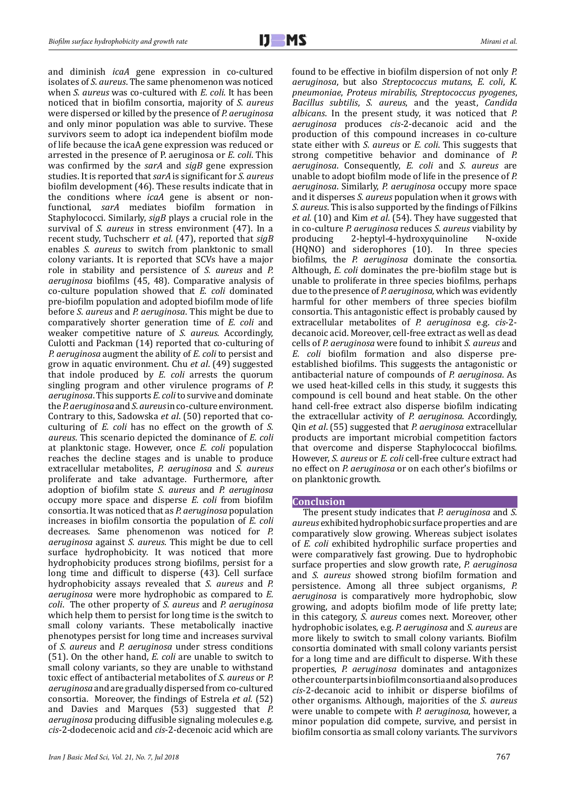and diminish *icaA* gene expression in co-cultured isolates of *S. aureus*. The same phenomenon was noticed when *S. aureus* was co-cultured with *E. coli*. It has been noticed that in biofilm consortia, majority of *S. aureus* were dispersed or killed by the presence of *P. aeruginosa* and only minor population was able to survive. These survivors seem to adopt ica independent biofilm mode of life because the icaA gene expression was reduced or arrested in the presence of P. aeruginosa or *E. coli*. This was confirmed by the *sarA* and *sigB* gene expression studies. It is reported that *sarA* is significant for *S. aureus* biofilm development (46). These results indicate that in the conditions where *icaA* gene is absent or nonfunctional, *sarA* mediates biofilm formation in Staphylococci. Similarly, *sigB* plays a crucial role in the survival of *S. aureus* in stress environment (47). In a recent study, Tuchscherr *et al*. (47), reported that *sigB* enables *S. aureus* to switch from planktonic to small colony variants. It is reported that SCVs have a major role in stability and persistence of *S. aureus* and *P. aeruginosa* biofilms (45, 48). Comparative analysis of co-culture population showed that *E. coli* dominated pre-biofilm population and adopted biofilm mode of life before *S. aureus* and *P. aeruginosa*. This might be due to comparatively shorter generation time of *E. coli* and weaker competitive nature of *S. aureus*. Accordingly, Culotti and Packman (14) reported that co-culturing of *P. aeruginosa* augment the ability of *E. coli* to persist and grow in aquatic environment. Chu *et al*. (49) suggested that indole produced by *E. coli* arrests the quorum singling program and other virulence programs of *P. aeruginosa*. This supports *E. coli* to survive and dominate the *P. aeruginosa* and *S. aureus* in co-culture environment. Contrary to this, Sadowska *et al*. (50) reported that coculturing of *E. coli* has no effect on the growth of *S. aureus*. This scenario depicted the dominance of *E. coli*  at planktonic stage. However, once *E. coli* population reaches the decline stages and is unable to produce extracellular metabolites, *P. aeruginosa* and *S. aureus* proliferate and take advantage. Furthermore, after adoption of biofilm state *S. aureus* and *P. aeruginosa* occupy more space and disperse *E. coli* from biofilm consortia. It was noticed that as *P. aeruginosa* population increases in biofilm consortia the population of *E. coli* decreases. Same phenomenon was noticed for *P. aeruginosa* against *S. aureus*. This might be due to cell surface hydrophobicity. It was noticed that more hydrophobicity produces strong biofilms, persist for a long time and difficult to disperse (43). Cell surface hydrophobicity assays revealed that *S. aureus* and *P. aeruginosa* were more hydrophobic as compared to *E. coli*. The other property of *S. aureus* and *P. aeruginosa* which help them to persist for long time is the switch to small colony variants. These metabolically inactive phenotypes persist for long time and increases survival of *S. aureus* and *P. aeruginosa* under stress conditions (51). On the other hand, *E. coli* are unable to switch to small colony variants, so they are unable to withstand toxic effect of antibacterial metabolites of *S. aureus* or *P. aeruginosa* and are gradually dispersed from co-cultured consortia. Moreover, the findings of Estrela *et al*. (52) and Davies and Marques (53) suggested that *P. aeruginosa* producing diffusible signaling molecules e.g. *cis*-2-dodecenoic acid and *cis*-2-decenoic acid which are

found to be effective in biofilm dispersion of not only *P. aeruginosa*, but also *Streptococcus mutans*, *E. coli*, *K. pneumoniae*, *Proteus mirabilis*, *Streptococcus pyogenes*, *Bacillus subtilis*, *S. aureus*, and the yeast, *Candida albicans*. In the present study, it was noticed that *P. aeruginosa* produces *cis*-2-decanoic acid and the production of this compound increases in co-culture state either with *S. aureus* or *E. coli*. This suggests that strong competitive behavior and dominance of *P. aeruginosa*. Consequently, *E. coli* and *S. aureus* are unable to adopt biofilm mode of life in the presence of *P. aeruginosa*. Similarly, *P. aeruginosa* occupy more space and it disperses *S. aureus* population when it grows with *S. aureus*. This is also supported by the findings of Filkins *et al.* (10) and Kim *et al*. (54). They have suggested that in co-culture *P. aeruginosa* reduces *S. aureus* viability by 2-heptyl-4-hydroxyquinoline (HQNO) and siderophores (10). In three species biofilms, the *P. aeruginosa* dominate the consortia. Although, *E. coli* dominates the pre-biofilm stage but is unable to proliferate in three species biofilms, perhaps due to the presence of *P. aeruginosa,* which was evidently harmful for other members of three species biofilm consortia. This antagonistic effect is probably caused by extracellular metabolites of *P. aeruginosa* e.g. *cis*-2 decanoic acid. Moreover, cell-free extract as well as dead cells of *P. aeruginosa* were found to inhibit *S. aureus* and *E. coli* biofilm formation and also disperse preestablished biofilms. This suggests the antagonistic or antibacterial nature of compounds of *P. aeruginosa*. As we used heat-killed cells in this study, it suggests this compound is cell bound and heat stable. On the other hand cell-free extract also disperse biofilm indicating the extracellular activity of *P. aeruginosa*. Accordingly, Qin *et al*. (55) suggested that *P. aeruginosa* extracellular products are important microbial competition factors that overcome and disperse Staphylococcal biofilms. However, *S. aureus* or *E. coli* cell-free culture extract had no effect on *P. aeruginosa* or on each other's biofilms or on planktonic growth.

## **Conclusion**

The present study indicates that *P. aeruginosa* and *S. aureus* exhibited hydrophobic surface properties and are comparatively slow growing. Whereas subject isolates of *E. coli* exhibited hydrophilic surface properties and were comparatively fast growing. Due to hydrophobic surface properties and slow growth rate, *P. aeruginosa* and *S. aureus* showed strong biofilm formation and persistence. Among all three subject organisms, *P. aeruginosa* is comparatively more hydrophobic, slow growing, and adopts biofilm mode of life pretty late; in this category, *S. aureus* comes next. Moreover, other hydrophobic isolates, e.g. *P. aeruginosa* and *S. aureus* are more likely to switch to small colony variants. Biofilm consortia dominated with small colony variants persist for a long time and are difficult to disperse. With these properties, *P. aeruginosa* dominates and antagonizes other counterparts in biofilm consortia and also produces *cis*-2-decanoic acid to inhibit or disperse biofilms of other organisms. Although, majorities of the *S. aureus* were unable to compete with *P. aeruginosa*, however, a minor population did compete, survive, and persist in biofilm consortia as small colony variants. The survivors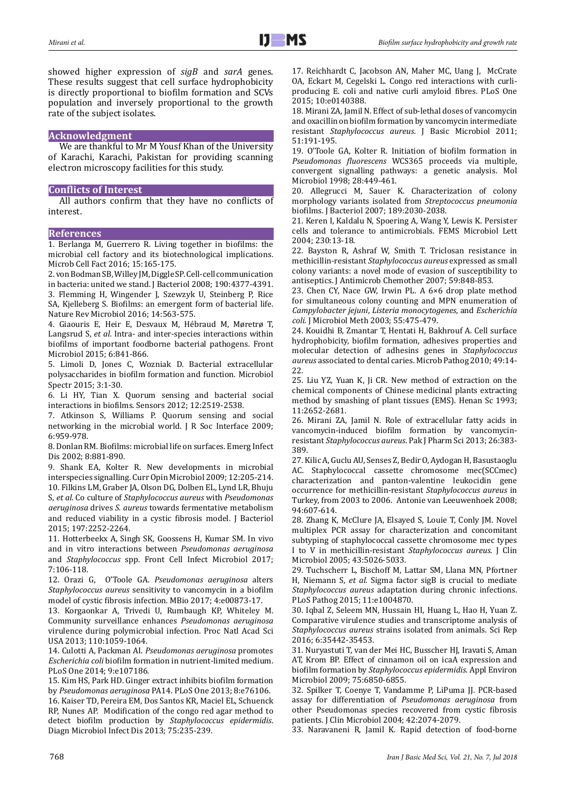showed higher expression of *sigB* and *sarA* genes. These results suggest that cell surface hydrophobicity is directly proportional to biofilm formation and SCVs population and inversely proportional to the growth rate of the subject isolates.

## **Acknowledgment**

We are thankful to Mr M Yousf Khan of the University of Karachi, Karachi, Pakistan for providing scanning electron microscopy facilities for this study.

#### **Conflicts of Interest**

All authors confirm that they have no conflicts of interest.

### **References**

1. Berlanga M, Guerrero R. Living together in biofilms: the microbial cell factory and its biotechnological implications. Microb Cell Fact 2016; 15:165-175.

2. von Bodman SB, Willey JM, Diggle SP. Cell-cell communication in bacteria: united we stand. J Bacteriol 2008; 190:4377-4391. 3. Flemming H, Wingender J, Szewzyk U, Steinberg P, Rice SA, Kjelleberg S. Biofilms: an emergent form of bacterial life. Nature Rev Microbiol 2016; 14:563-575.

4. Giaouris E, Heir E, Desvaux M, Hébraud M, Møretrø T, Langsrud S, *et al*. Intra- and inter-species interactions within biofilms of important foodborne bacterial pathogens. Front Microbiol 2015; 6:841-866.

5. Limoli D, Jones C, Wozniak D. Bacterial extracellular polysaccharides in biofilm formation and function. Microbiol Spectr 2015; 3:1-30.

6. Li HY, Tian X. Quorum sensing and bacterial social interactions in biofilms. Sensors 2012; 12:2519-2538.

7. Atkinson S, Williams P. Quorum sensing and social networking in the microbial world. J R Soc Interface 2009; 6:959-978.

8. Donlan RM. Biofilms: microbial life on surfaces. Emerg Infect Dis 2002; 8:881-890.

9. Shank EA, Kolter R. New developments in microbial interspecies signalling. Curr Opin Microbiol 2009; 12:205-214. 10. Filkins LM, Graber JA, Olson DG, Dolben EL, Lynd LR, Bhuju S, *et al*. Co culture of *Staphylococcus aureus* with *Pseudomonas aeruginosa* drives *S. aureus* towards fermentative metabolism and reduced viability in a cystic fibrosis model. J Bacteriol 2015; 197:2252-2264.

11. Hotterbeekx A, Singh SK, Goossens H, Kumar SM. In vivo and in vitro interactions between *Pseudomonas aeruginosa*  and *Staphylococcus* spp. Front Cell Infect Microbiol 2017; 7:106-118.

12. Orazi G, O'Toole GA. *Pseudomonas aeruginosa* alters *Staphylococcus aureus* sensitivity to vancomycin in a biofilm model of cystic fibrosis infection. MBio 2017; 4:e00873-17.

13. Korgaonkar A, Trivedi U, Rumbaugh KP, Whiteley M. Community surveillance enhances *Pseudomonas aeruginosa*  virulence during polymicrobial infection. Proc Natl Acad Sci USA 2013; 110:1059-1064.

14. Culotti A, Packman AI. *Pseudomonas aeruginosa* promotes *Escherichia coli* biofilm formation in nutrient-limited medium. PLoS One 2014; 9:e107186.

15. Kim HS, Park HD. Ginger extract inhibits biofilm formation by *Pseudomonas aeruginosa* PA14. PLoS One 2013; 8:e76106.

16. Kaiser TD, Pereira EM, Dos Santos KR, Maciel EL, Schuenck RP, Nunes AP. Modification of the congo red agar method to detect biofilm production by *Staphylococcus epidermidis*. Diagn Microbiol Infect Dis 2013; 75:235-239.

17. Reichhardt C, Jacobson AN, Maher MC, Uang J, McCrate OA, Eckart M, Cegelski L. Congo red interactions with curliproducing E. coli and native curli amyloid fibres. PLoS One 2015; 10:e0140388.

18. Mirani ZA, Jamil N. Effect of sub-lethal doses of vancomycin and oxacillin on biofilm formation by vancomycin intermediate resistant *Staphylococcus aureus*. J Basic Microbiol 2011; 51:191-195.

19. O'Toole GA, Kolter R. Initiation of biofilm formation in *Pseudomonas fluorescens* WCS365 proceeds via multiple, convergent signalling pathways: a genetic analysis. Mol Microbiol 1998; 28:449-461.

20. Allegrucci M, Sauer K. Characterization of colony morphology variants isolated from *Streptococcus pneumonia*  biofilms. J Bacteriol 2007; 189:2030-2038.

21. Keren I, Kaldalu N, Spoering A, Wang Y, Lewis K. Persister cells and tolerance to antimicrobials. FEMS Microbiol Lett 2004; 230:13-18.

22. Bayston R, Ashraf W, Smith T. Triclosan resistance in methicillin-resistant *Staphylococcus aureus* expressed as small colony variants: a novel mode of evasion of susceptibility to antiseptics. J Antimicrob Chemother 2007; 59:848-853.

23. Chen CY, Nace GW, Irwin PL. A 6×6 drop plate method for simultaneous colony counting and MPN enumeration of *Campylobacter jejuni*, *Listeria monocytogenes*, and *Escherichia coli.* J Microbiol Meth 2003; 55:475-479.

24. Kouidhi B, Zmantar T, Hentati H, Bakhrouf A. Cell surface hydrophobicity, biofilm formation, adhesives properties and molecular detection of adhesins genes in *Staphylococcus aureus* associated to dental caries. Microb Pathog 2010; 49:14- 22.

25. Liu YZ, Yuan K, Ji CR. New method of extraction on the chemical components of Chinese medicinal plants extracting method by smashing of plant tissues (EMS). Henan Sc 1993; 11:2652-2681.

26. Mirani ZA, Jamil N. Role of extracellular fatty acids in vancomycin-induced biofilm formation by vancomycinresistant *Staphylococcus aureus*. Pak J Pharm Sci 2013; 26:383- 389.

27. Kilic A, Guclu AU, Senses Z, Bedir O, Aydogan H, Basustaoglu AC. Staphylococcal cassette chromosome mec(SCCmec) characterization and panton-valentine leukocidin gene occurrence for methicillin-resistant *Staphylococcus aureus* in Turkey, from 2003 to 2006. Antonie van Leeuwenhoek 2008; 94:607-614.

28. Zhang K, McClure JA, Elsayed S, Louie T, Conly JM. Novel multiplex PCR assay for characterization and concomitant subtyping of staphylococcal cassette chromosome mec types I to V in methicillin-resistant *Staphylococcus aureus*. J Clin Microbiol 2005; 43:5026-5033.

29. Tuchscherr L, Bischoff M, Lattar SM, Llana MN, Pfortner H, Niemann S, *et al*. Sigma factor sigB is crucial to mediate *Staphylococcus aureus* adaptation during chronic infections. PLoS Pathog 2015; 11:e1004870.

30. Iqbal Z, Seleem MN, Hussain HI, Huang L, Hao H, Yuan Z. Comparative virulence studies and transcriptome analysis of *Staphylococcus aureus* strains isolated from animals. Sci Rep 2016; 6:35442-35453.

31. Nuryastuti T, van der Mei HC, Busscher HJ, Iravati S, Aman AT, Krom BP. Effect of cinnamon oil on icaA expression and biofilm formation by *Staphylococcus epidermidis*. Appl Environ Microbiol 2009; 75:6850-6855.

32. Spilker T, Coenye T, Vandamme P, LiPuma JJ. PCR-based assay for differentiation of *Pseudomonas aeruginosa* from other Pseudomonas species recovered from cystic fibrosis patients. J Clin Microbiol 2004; 42:2074-2079.

33. Naravaneni R, Jamil K. Rapid detection of food-borne